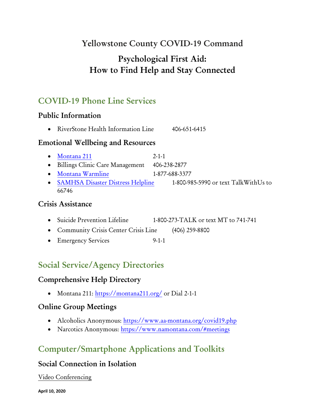# **Yellowstone County COVID-19 Command**

# **Psychological First Aid: How to Find Help and Stay Connected**

# **COVID-19 Phone Line Services**

## **Public Information**

• RiverStone Health Information Line 406-651-6415

### **Emotional Wellbeing and Resources**

- [Montana 211](https://montana211.org/) 2-1-1
- Billings Clinic Care Management 406-238-2877
- [Montana Warmline](http://montanawarmline.org/) 1-877-688-3377
- [SAMHSA Disaster Distress Helpline](https://www.samhsa.gov/find-help/disaster-distress-helpline) 1-800-985-5990 or text TalkWithUs to 66746

### **Crisis Assistance**

- Suicide Prevention Lifeline 1-800-273-TALK or text MT to 741-741
- Community Crisis Center Crisis Line (406) 259-8800
- Emergency Services 9-1-1

# **Social Service/Agency Directories**

## **Comprehensive Help Directory**

• Montana 211:<https://montana211.org/> or Dial 2-1-1

### **Online Group Meetings**

- Alcoholics Anonymous:<https://www.aa-montana.org/covid19.php>
- Narcotics Anonymous:<https://www.namontana.com/#meetings>

# **Computer/Smartphone Applications and Toolkits**

## **Social Connection in Isolation**

### Video Conferencing

**April 10, 2020**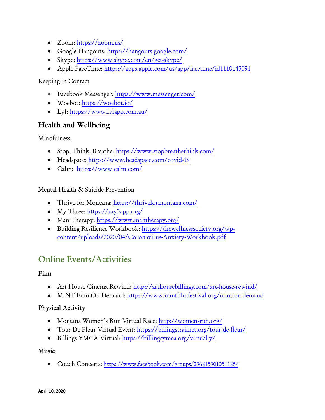- Zoom:<https://zoom.us/>
- Google Hangouts:<https://hangouts.google.com/>
- Skype:<https://www.skype.com/en/get-skype/>
- Apple FaceTime: https://apps.apple.com/us/app/facetime/id1110145091

### Keeping in Contact

- Facebook Messenger:<https://www.messenger.com/>
- Woebot:<https://woebot.io/>
- Lyf:<https://www.lyfapp.com.au/>

### **Health and Wellbeing**

### Mindfulness

- Stop, Think, Breathe:<https://www.stopbreathethink.com/>
- Headspace:<https://www.headspace.com/covid-19>
- Calm: <https://www.calm.com/>

### Mental Health & Suicide Prevention

- Thrive for Montana:<https://thriveformontana.com/>
- My Three:<https://my3app.org/>
- Man Therapy:<https://www.mantherapy.org/>
- Building Resilience Workbook: [https://thewellnesssociety.org/wp](https://thewellnesssociety.org/wp-content/uploads/2020/04/Coronavirus-Anxiety-Workbook.pdf)[content/uploads/2020/04/Coronavirus-Anxiety-Workbook.pdf](https://thewellnesssociety.org/wp-content/uploads/2020/04/Coronavirus-Anxiety-Workbook.pdf)

## **Online Events/Activities**

### **Film**

- Art House Cinema Rewind:<http://arthousebillings.com/art-house-rewind/>
- MINT Film On Demand:<https://www.mintfilmfestival.org/mint-on-demand>

### **Physical Activity**

- Montana Women's Run Virtual Race: <http://womensrun.org/>
- Tour De Fleur Virtual Event:<https://billingstrailnet.org/tour-de-fleur/>
- Billings YMCA Virtual:<https://billingsymca.org/virtual-y/>

#### **Music**

• Couch Concerts: <https://www.facebook.com/groups/236815301051185/>